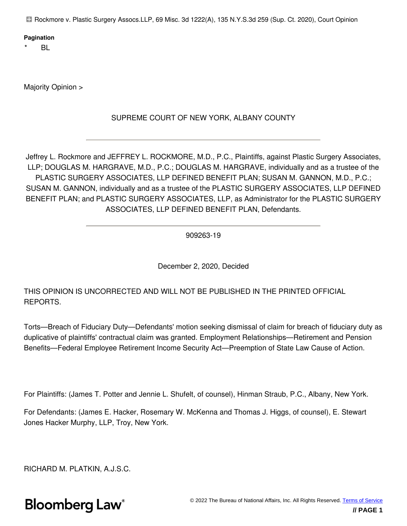Rockmore v. Plastic Surgery Assocs.LLP, 69 Misc. 3d 1222(A), 135 N.Y.S.3d 259 (Sup. Ct. 2020), Court Opinion

#### **Pagination**

 $BL$ 

Majority Opinion >

### SUPREME COURT OF NEW YORK, ALBANY COUNTY

Jeffrey L. Rockmore and JEFFREY L. ROCKMORE, M.D., P.C., Plaintiffs, against Plastic Surgery Associates, LLP; DOUGLAS M. HARGRAVE, M.D., P.C.; DOUGLAS M. HARGRAVE, individually and as a trustee of the PLASTIC SURGERY ASSOCIATES, LLP DEFINED BENEFIT PLAN; SUSAN M. GANNON, M.D., P.C.; SUSAN M. GANNON, individually and as a trustee of the PLASTIC SURGERY ASSOCIATES, LLP DEFINED BENEFIT PLAN; and PLASTIC SURGERY ASSOCIATES, LLP, as Administrator for the PLASTIC SURGERY ASSOCIATES, LLP DEFINED BENEFIT PLAN, Defendants.

909263-19

December 2, 2020, Decided

THIS OPINION IS UNCORRECTED AND WILL NOT BE PUBLISHED IN THE PRINTED OFFICIAL REPORTS.

Torts—Breach of Fiduciary Duty—Defendants' motion seeking dismissal of claim for breach of fiduciary duty as duplicative of plaintiffs' contractual claim was granted. Employment Relationships—Retirement and Pension Benefits—Federal Employee Retirement Income Security Act—Preemption of State Law Cause of Action.

For Plaintiffs: (James T. Potter and Jennie L. Shufelt, of counsel), Hinman Straub, P.C., Albany, New York.

For Defendants: (James E. Hacker, Rosemary W. McKenna and Thomas J. Higgs, of counsel), E. Stewart Jones Hacker Murphy, LLP, Troy, New York.

RICHARD M. PLATKIN, A.J.S.C.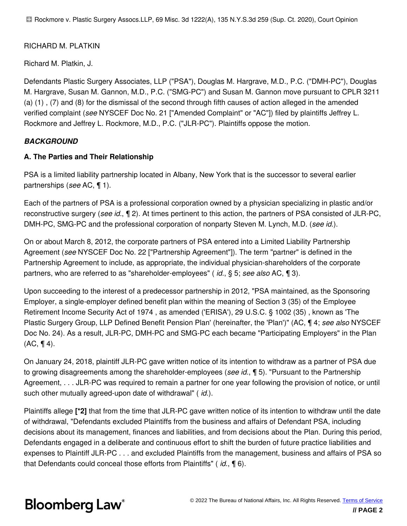### RICHARD M. PLATKIN

Richard M. Platkin, J.

Defendants Plastic Surgery Associates, LLP ("PSA"), Douglas M. Hargrave, M.D., P.C. ("DMH-PC"), Douglas M. Hargrave, Susan M. Gannon, M.D., P.C. ("SMG-PC") and Susan M. Gannon move pursuant to CPLR 3211 (a) (1) , (7) and (8) for the dismissal of the second through fifth causes of action alleged in the amended verified complaint (*see* NYSCEF Doc No. 21 ["Amended Complaint" or "AC"]) filed by plaintiffs Jeffrey L. Rockmore and Jeffrey L. Rockmore, M.D., P.C. ("JLR-PC"). Plaintiffs oppose the motion.

### *BACKGROUND*

#### **A. The Parties and Their Relationship**

PSA is a limited liability partnership located in Albany, New York that is the successor to several earlier partnerships (*see* AC, ¶ 1).

Each of the partners of PSA is a professional corporation owned by a physician specializing in plastic and/or reconstructive surgery (*see id.*, ¶ 2). At times pertinent to this action, the partners of PSA consisted of JLR-PC, DMH-PC, SMG-PC and the professional corporation of nonparty Steven M. Lynch, M.D. (*see id.*).

On or about March 8, 2012, the corporate partners of PSA entered into a Limited Liability Partnership Agreement (*see* NYSCEF Doc No. 22 ["Partnership Agreement"]). The term "partner" is defined in the Partnership Agreement to include, as appropriate, the individual physician-shareholders of the corporate partners, who are referred to as "shareholder-employees" ( *id.*, § 5; *see also* AC, ¶ 3).

Upon succeeding to the interest of a predecessor partnership in 2012, "PSA maintained, as the Sponsoring Employer, a single-employer defined benefit plan within the meaning of Section 3 (35) of the Employee Retirement Income Security Act of 1974 , as amended ('ERISA'), 29 U.S.C. § 1002 (35) , known as 'The Plastic Surgery Group, LLP Defined Benefit Pension Plan' (hereinafter, the 'Plan')" (AC, ¶ 4; *see also* NYSCEF Doc No. 24). As a result, JLR-PC, DMH-PC and SMG-PC each became "Participating Employers" in the Plan  $(AC, \P 4)$ .

On January 24, 2018, plaintiff JLR-PC gave written notice of its intention to withdraw as a partner of PSA due to growing disagreements among the shareholder-employees (*see id.*, ¶ 5). "Pursuant to the Partnership Agreement, . . . JLR-PC was required to remain a partner for one year following the provision of notice, or until such other mutually agreed-upon date of withdrawal" ( *id.*).

Plaintiffs allege **[\*2]** that from the time that JLR-PC gave written notice of its intention to withdraw until the date of withdrawal, "Defendants excluded Plaintiffs from the business and affairs of Defendant PSA, including decisions about its management, finances and liabilities, and from decisions about the Plan. During this period, Defendants engaged in a deliberate and continuous effort to shift the burden of future practice liabilities and expenses to Plaintiff JLR-PC . . . and excluded Plaintiffs from the management, business and affairs of PSA so that Defendants could conceal those efforts from Plaintiffs" ( *id.*, ¶ 6).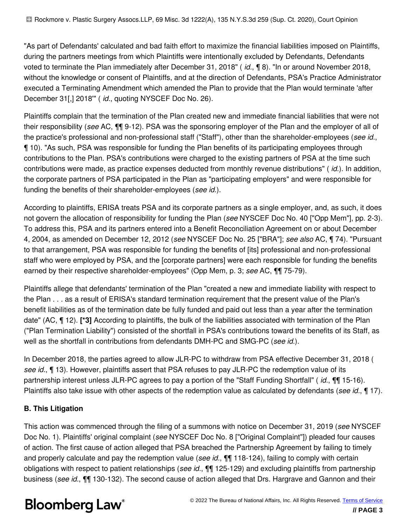"As part of Defendants' calculated and bad faith effort to maximize the financial liabilities imposed on Plaintiffs, during the partners meetings from which Plaintiffs were intentionally excluded by Defendants, Defendants voted to terminate the Plan immediately after December 31, 2018" ( *id.*, ¶ 8). "In or around November 2018, without the knowledge or consent of Plaintiffs, and at the direction of Defendants, PSA's Practice Administrator executed a Terminating Amendment which amended the Plan to provide that the Plan would terminate 'after December 31[,] 2018'" ( *id.*, quoting NYSCEF Doc No. 26).

Plaintiffs complain that the termination of the Plan created new and immediate financial liabilities that were not their responsibility (*see* AC, ¶¶ 9-12). PSA was the sponsoring employer of the Plan and the employer of all of the practice's professional and non-professional staff ("Staff"), other than the shareholder-employees (*see id.*, ¶ 10). "As such, PSA was responsible for funding the Plan benefits of its participating employees through contributions to the Plan. PSA's contributions were charged to the existing partners of PSA at the time such contributions were made, as practice expenses deducted from monthly revenue distributions" ( *id.*). In addition, the corporate partners of PSA participated in the Plan as "participating employers" and were responsible for funding the benefits of their shareholder-employees (*see id.*).

According to plaintiffs, ERISA treats PSA and its corporate partners as a single employer, and, as such, it does not govern the allocation of responsibility for funding the Plan (*see* NYSCEF Doc No. 40 ["Opp Mem"], pp. 2-3). To address this, PSA and its partners entered into a Benefit Reconciliation Agreement on or about December 4, 2004, as amended on December 12, 2012 (*see* NYSCEF Doc No. 25 ["BRA"]; *see also* AC, ¶ 74). "Pursuant to that arrangement, PSA was responsible for funding the benefits of [its] professional and non-professional staff who were employed by PSA, and the [corporate partners] were each responsible for funding the benefits earned by their respective shareholder-employees" (Opp Mem, p. 3; *see* AC, ¶¶ 75-79).

Plaintiffs allege that defendants' termination of the Plan "created a new and immediate liability with respect to the Plan . . . as a result of ERISA's standard termination requirement that the present value of the Plan's benefit liabilities as of the termination date be fully funded and paid out less than a year after the termination date" (AC, ¶ 12). **[\*3]** According to plaintiffs, the bulk of the liabilities associated with termination of the Plan ("Plan Termination Liability") consisted of the shortfall in PSA's contributions toward the benefits of its Staff, as well as the shortfall in contributions from defendants DMH-PC and SMG-PC (*see id.*).

In December 2018, the parties agreed to allow JLR-PC to withdraw from PSA effective December 31, 2018 ( *see id.*, ¶ 13). However, plaintiffs assert that PSA refuses to pay JLR-PC the redemption value of its partnership interest unless JLR-PC agrees to pay a portion of the "Staff Funding Shortfall" ( *id.*, ¶¶ 15-16). Plaintiffs also take issue with other aspects of the redemption value as calculated by defendants (*see id.*, ¶ 17).

### **B. This Litigation**

This action was commenced through the filing of a summons with notice on December 31, 2019 (*see* NYSCEF Doc No. 1). Plaintiffs' original complaint (*see* NYSCEF Doc No. 8 ["Original Complaint"]) pleaded four causes of action. The first cause of action alleged that PSA breached the Partnership Agreement by failing to timely and properly calculate and pay the redemption value (*see id.*, ¶¶ 118-124), failing to comply with certain obligations with respect to patient relationships (*see id.*, ¶¶ 125-129) and excluding plaintiffs from partnership business (*see id.*, ¶¶ 130-132). The second cause of action alleged that Drs. Hargrave and Gannon and their

# **Bloomberg Law®**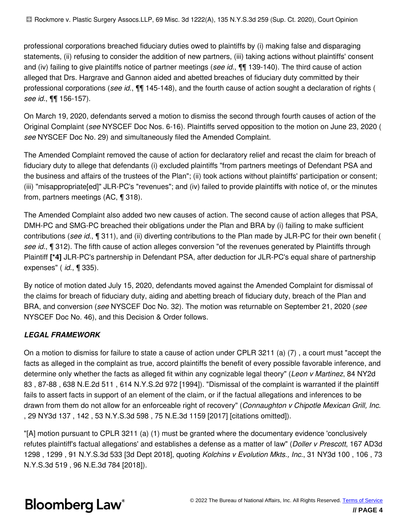professional corporations breached fiduciary duties owed to plaintiffs by (i) making false and disparaging statements, (ii) refusing to consider the addition of new partners, (iii) taking actions without plaintiffs' consent and (iv) failing to give plaintiffs notice of partner meetings (*see id.*, ¶¶ 139-140). The third cause of action alleged that Drs. Hargrave and Gannon aided and abetted breaches of fiduciary duty committed by their professional corporations (*see id.*, ¶¶ 145-148), and the fourth cause of action sought a declaration of rights ( *see id.*, ¶¶ 156-157).

On March 19, 2020, defendants served a motion to dismiss the second through fourth causes of action of the Original Complaint (*see* NYSCEF Doc Nos. 6-16). Plaintiffs served opposition to the motion on June 23, 2020 ( *see* NYSCEF Doc No. 29) and simultaneously filed the Amended Complaint.

The Amended Complaint removed the cause of action for declaratory relief and recast the claim for breach of fiduciary duty to allege that defendants (i) excluded plaintiffs "from partners meetings of Defendant PSA and the business and affairs of the trustees of the Plan"; (ii) took actions without plaintiffs' participation or consent; (iii) "misappropriate[ed]" JLR-PC's "revenues"; and (iv) failed to provide plaintiffs with notice of, or the minutes from, partners meetings (AC, ¶ 318).

The Amended Complaint also added two new causes of action. The second cause of action alleges that PSA, DMH-PC and SMG-PC breached their obligations under the Plan and BRA by (i) failing to make sufficient contributions (*see id.*, ¶ 311), and (ii) diverting contributions to the Plan made by JLR-PC for their own benefit ( *see id.*, ¶ 312). The fifth cause of action alleges conversion "of the revenues generated by Plaintiffs through Plaintiff **[\*4]** JLR-PC's partnership in Defendant PSA, after deduction for JLR-PC's equal share of partnership expenses" ( *id.*, ¶ 335).

By notice of motion dated July 15, 2020, defendants moved against the Amended Complaint for dismissal of the claims for breach of fiduciary duty, aiding and abetting breach of fiduciary duty, breach of the Plan and BRA, and conversion (*see* NYSCEF Doc No. 32). The motion was returnable on September 21, 2020 (*see* NYSCEF Doc No. 46), and this Decision & Order follows.

### *LEGAL FRAMEWORK*

On a motion to dismiss for failure to state a cause of action under CPLR 3211 (a) (7) , a court must "accept the facts as alleged in the complaint as true, accord plaintiffs the benefit of every possible favorable inference, and determine only whether the facts as alleged fit within any cognizable legal theory" (*Leon v Martinez*, 84 NY2d 83 , 87-88 , 638 N.E.2d 511 , 614 N.Y.S.2d 972 [1994]). "Dismissal of the complaint is warranted if the plaintiff fails to assert facts in support of an element of the claim, or if the factual allegations and inferences to be drawn from them do not allow for an enforceable right of recovery" (*Connaughton v Chipotle Mexican Grill, Inc.* , 29 NY3d 137 , 142 , 53 N.Y.S.3d 598 , 75 N.E.3d 1159 [2017] [citations omitted]).

"[A] motion pursuant to CPLR 3211 (a) (1) must be granted where the documentary evidence 'conclusively refutes plaintiff's factual allegations' and establishes a defense as a matter of law" (*Doller v Prescott*, 167 AD3d 1298 , 1299 , 91 N.Y.S.3d 533 [3d Dept 2018], quoting *Kolchins v Evolution Mkts., Inc.*, 31 NY3d 100 , 106 , 73 N.Y.S.3d 519 , 96 N.E.3d 784 [2018]).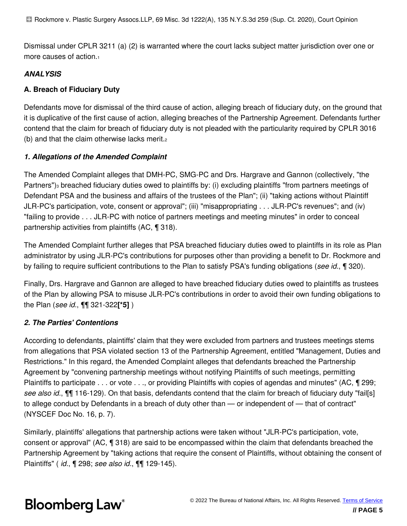Dismissal under CPLR 3211 (a) (2) is warranted where the court lacks subject matter jurisdiction over one or more causes of action.<sup>1</sup>

### *ANALYSIS*

### **A. Breach of Fiduciary Duty**

Defendants move for dismissal of the third cause of action, alleging breach of fiduciary duty, on the ground that it is duplicative of the first cause of action, alleging breaches of the Partnership Agreement. Defendants further contend that the claim for breach of fiduciary duty is not pleaded with the particularity required by CPLR 3016 (b) and that the claim otherwise lacks merit.<sup>2</sup>

#### *1. Allegations of the Amended Complaint*

The Amended Complaint alleges that DMH-PC, SMG-PC and Drs. Hargrave and Gannon (collectively, "the Partners")<sub>3</sub> breached fiduciary duties owed to plaintiffs by: (i) excluding plaintiffs "from partners meetings of Defendant PSA and the business and affairs of the trustees of the Plan"; (ii) "taking actions without Plaintiff JLR-PC's participation, vote, consent or approval"; (iii) "misappropriating . . . JLR-PC's revenues"; and (iv) "failing to provide . . . JLR-PC with notice of partners meetings and meeting minutes" in order to conceal partnership activities from plaintiffs (AC, ¶ 318).

The Amended Complaint further alleges that PSA breached fiduciary duties owed to plaintiffs in its role as Plan administrator by using JLR-PC's contributions for purposes other than providing a benefit to Dr. Rockmore and by failing to require sufficient contributions to the Plan to satisfy PSA's funding obligations (*see id.*, ¶ 320).

Finally, Drs. Hargrave and Gannon are alleged to have breached fiduciary duties owed to plaintiffs as trustees of the Plan by allowing PSA to misuse JLR-PC's contributions in order to avoid their own funding obligations to the Plan (*see id.*, ¶¶ 321-322**[\*5]** )

#### *2. The Parties' Contentions*

According to defendants, plaintiffs' claim that they were excluded from partners and trustees meetings stems from allegations that PSA violated section 13 of the Partnership Agreement, entitled "Management, Duties and Restrictions." In this regard, the Amended Complaint alleges that defendants breached the Partnership Agreement by "convening partnership meetings without notifying Plaintiffs of such meetings, permitting Plaintiffs to participate . . . or vote . . ., or providing Plaintiffs with copies of agendas and minutes" (AC, ¶ 299; *see also id.*, ¶¶ 116-129). On that basis, defendants contend that the claim for breach of fiduciary duty "fail[s] to allege conduct by Defendants in a breach of duty other than — or independent of — that of contract" (NYSCEF Doc No. 16, p. 7).

Similarly, plaintiffs' allegations that partnership actions were taken without "JLR-PC's participation, vote, consent or approval" (AC, ¶ 318) are said to be encompassed within the claim that defendants breached the Partnership Agreement by "taking actions that require the consent of Plaintiffs, without obtaining the consent of Plaintiffs" ( *id.*, ¶ 298; *see also id.*, ¶¶ 129-145).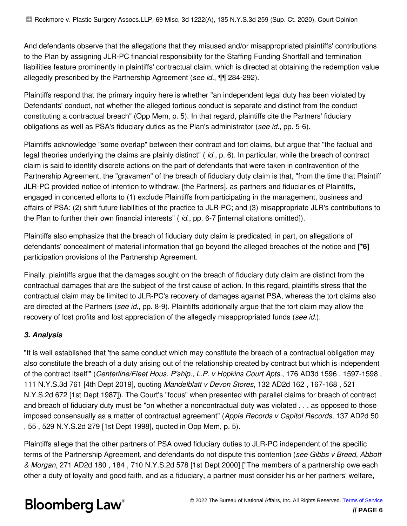And defendants observe that the allegations that they misused and/or misappropriated plaintiffs' contributions to the Plan by assigning JLR-PC financial responsibility for the Staffing Funding Shortfall and termination liabilities feature prominently in plaintiffs' contractual claim, which is directed at obtaining the redemption value allegedly prescribed by the Partnership Agreement (*see id.*, ¶¶ 284-292).

Plaintiffs respond that the primary inquiry here is whether "an independent legal duty has been violated by Defendants' conduct, not whether the alleged tortious conduct is separate and distinct from the conduct constituting a contractual breach" (Opp Mem, p. 5). In that regard, plaintiffs cite the Partners' fiduciary obligations as well as PSA's fiduciary duties as the Plan's administrator (*see id.*, pp. 5-6).

Plaintiffs acknowledge "some overlap" between their contract and tort claims, but argue that "the factual and legal theories underlying the claims are plainly distinct" ( *id.*, p. 6). In particular, while the breach of contract claim is said to identify discrete actions on the part of defendants that were taken in contravention of the Partnership Agreement, the "gravamen" of the breach of fiduciary duty claim is that, "from the time that Plaintiff JLR-PC provided notice of intention to withdraw, [the Partners], as partners and fiduciaries of Plaintiffs, engaged in concerted efforts to (1) exclude Plaintiffs from participating in the management, business and affairs of PSA; (2) shift future liabilities of the practice to JLR-PC; and (3) misappropriate JLR's contributions to the Plan to further their own financial interests" ( *id.*, pp. 6-7 [internal citations omitted]).

Plaintiffs also emphasize that the breach of fiduciary duty claim is predicated, in part, on allegations of defendants' concealment of material information that go beyond the alleged breaches of the notice and **[\*6]** participation provisions of the Partnership Agreement.

Finally, plaintiffs argue that the damages sought on the breach of fiduciary duty claim are distinct from the contractual damages that are the subject of the first cause of action. In this regard, plaintiffs stress that the contractual claim may be limited to JLR-PC's recovery of damages against PSA, whereas the tort claims also are directed at the Partners (*see id.*, pp. 8-9). Plaintiffs additionally argue that the tort claim may allow the recovery of lost profits and lost appreciation of the allegedly misappropriated funds (*see id.*).

### *3. Analysis*

"It is well established that 'the same conduct which may constitute the breach of a contractual obligation may also constitute the breach of a duty arising out of the relationship created by contract but which is independent of the contract itself'" (*Centerline/Fleet Hous. P'ship., L.P. v Hopkins Court Apts.*, 176 AD3d 1596 , 1597-1598 , 111 N.Y.S.3d 761 [4th Dept 2019], quoting *Mandelblatt v Devon Stores*, 132 AD2d 162 , 167-168 , 521 N.Y.S.2d 672 [1st Dept 1987]). The Court's "focus" when presented with parallel claims for breach of contract and breach of fiduciary duty must be "on whether a noncontractual duty was violated . . . as opposed to those imposed consensually as a matter of contractual agreement" (*Apple Records v Capitol Records*, 137 AD2d 50 , 55 , 529 N.Y.S.2d 279 [1st Dept 1998], quoted in Opp Mem, p. 5).

Plaintiffs allege that the other partners of PSA owed fiduciary duties to JLR-PC independent of the specific terms of the Partnership Agreement, and defendants do not dispute this contention (*see Gibbs v Breed, Abbott & Morgan*, 271 AD2d 180 , 184 , 710 N.Y.S.2d 578 [1st Dept 2000] ["The members of a partnership owe each other a duty of loyalty and good faith, and as a fiduciary, a partner must consider his or her partners' welfare,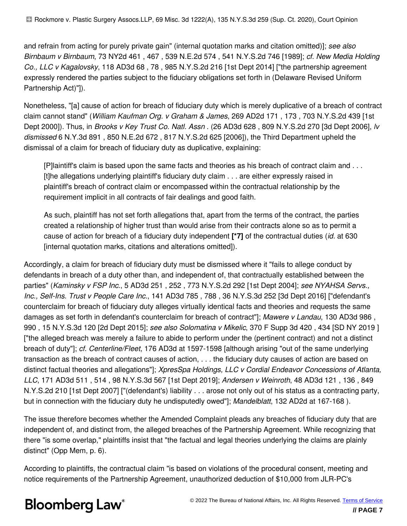and refrain from acting for purely private gain" (internal quotation marks and citation omitted)]; *see also Birnbaum v Birnbaum*, 73 NY2d 461 , 467 , 539 N.E.2d 574 , 541 N.Y.S.2d 746 [1989]; *cf. New Media Holding Co., LLC v Kagalovsky*, 118 AD3d 68 , 78 , 985 N.Y.S.2d 216 [1st Dept 2014] ["the partnership agreement expressly rendered the parties subject to the fiduciary obligations set forth in (Delaware Revised Uniform Partnership Act)"]).

Nonetheless, "[a] cause of action for breach of fiduciary duty which is merely duplicative of a breach of contract claim cannot stand" (*William Kaufman Org. v Graham & James*, 269 AD2d 171 , 173 , 703 N.Y.S.2d 439 [1st Dept 2000]). Thus, in *Brooks v Key Trust Co. Natl. Assn* . (26 AD3d 628 , 809 N.Y.S.2d 270 [3d Dept 2006], *lv dismissed* 6 N.Y.3d 891 , 850 N.E.2d 672 , 817 N.Y.S.2d 625 [2006]), the Third Department upheld the dismissal of a claim for breach of fiduciary duty as duplicative, explaining:

[P]laintiff's claim is based upon the same facts and theories as his breach of contract claim and . . . [t]he allegations underlying plaintiff's fiduciary duty claim . . . are either expressly raised in plaintiff's breach of contract claim or encompassed within the contractual relationship by the requirement implicit in all contracts of fair dealings and good faith.

As such, plaintiff has not set forth allegations that, apart from the terms of the contract, the parties created a relationship of higher trust than would arise from their contracts alone so as to permit a cause of action for breach of a fiduciary duty independent **[\*7]** of the contractual duties (*id.* at 630 [internal quotation marks, citations and alterations omitted]).

Accordingly, a claim for breach of fiduciary duty must be dismissed where it "fails to allege conduct by defendants in breach of a duty other than, and independent of, that contractually established between the parties" (*Kaminsky v FSP Inc.*, 5 AD3d 251 , 252 , 773 N.Y.S.2d 292 [1st Dept 2004]; *see NYAHSA Servs., Inc., Self-Ins. Trust v People Care Inc.*, 141 AD3d 785 , 788 , 36 N.Y.S.3d 252 [3d Dept 2016] ["defendant's counterclaim for breach of fiduciary duty alleges virtually identical facts and theories and requests the same damages as set forth in defendant's counterclaim for breach of contract"]; *Mawere v Landau*, 130 AD3d 986 , 990 , 15 N.Y.S.3d 120 [2d Dept 2015]; *see also Solomatina v Mikelic*, 370 F Supp 3d 420 , 434 [SD NY 2019 ] ["the alleged breach was merely a failure to abide to perform under the (pertinent contract) and not a distinct breach of duty"]; *cf. Centerline/Fleet*, 176 AD3d at 1597-1598 [although arising "out of the same underlying transaction as the breach of contract causes of action, . . . the fiduciary duty causes of action are based on distinct factual theories and allegations"]; *XpresSpa Holdings, LLC v Cordial Endeavor Concessions of Atlanta, LLC*, 171 AD3d 511 , 514 , 98 N.Y.S.3d 567 [1st Dept 2019]; *Andersen v Weinroth*, 48 AD3d 121 , 136 , 849 N.Y.S.2d 210 [1st Dept 2007] ["(defendant's) liability . . . arose not only out of his status as a contracting party, but in connection with the fiduciary duty he undisputedly owed"]; *Mandelblatt*, 132 AD2d at 167-168 ).

The issue therefore becomes whether the Amended Complaint pleads any breaches of fiduciary duty that are independent of, and distinct from, the alleged breaches of the Partnership Agreement. While recognizing that there "is some overlap," plaintiffs insist that "the factual and legal theories underlying the claims are plainly distinct" (Opp Mem, p. 6).

According to plaintiffs, the contractual claim "is based on violations of the procedural consent, meeting and notice requirements of the Partnership Agreement, unauthorized deduction of \$10,000 from JLR-PC's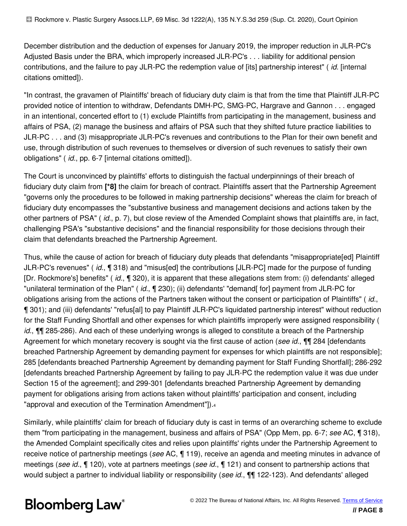December distribution and the deduction of expenses for January 2019, the improper reduction in JLR-PC's Adjusted Basis under the BRA, which improperly increased JLR-PC's . . . liability for additional pension contributions, and the failure to pay JLR-PC the redemption value of [its] partnership interest" ( *id.* [internal citations omitted]).

"In contrast, the gravamen of Plaintiffs' breach of fiduciary duty claim is that from the time that Plaintiff JLR-PC provided notice of intention to withdraw, Defendants DMH-PC, SMG-PC, Hargrave and Gannon . . . engaged in an intentional, concerted effort to (1) exclude Plaintiffs from participating in the management, business and affairs of PSA, (2) manage the business and affairs of PSA such that they shifted future practice liabilities to JLR-PC . . . and (3) misappropriate JLR-PC's revenues and contributions to the Plan for their own benefit and use, through distribution of such revenues to themselves or diversion of such revenues to satisfy their own obligations" ( *id.*, pp. 6-7 [internal citations omitted]).

The Court is unconvinced by plaintiffs' efforts to distinguish the factual underpinnings of their breach of fiduciary duty claim from **[\*8]** the claim for breach of contract. Plaintiffs assert that the Partnership Agreement "governs only the procedures to be followed in making partnership decisions" whereas the claim for breach of fiduciary duty encompasses the "substantive business and management decisions and actions taken by the other partners of PSA" ( *id.*, p. 7), but close review of the Amended Complaint shows that plaintiffs are, in fact, challenging PSA's "substantive decisions" and the financial responsibility for those decisions through their claim that defendants breached the Partnership Agreement.

Thus, while the cause of action for breach of fiduciary duty pleads that defendants "misappropriate[ed] Plaintiff JLR-PC's revenues" ( *id.*, ¶ 318) and "misus[ed] the contributions [JLR-PC] made for the purpose of funding [Dr. Rockmore's] benefits" ( *id.*, ¶ 320), it is apparent that these allegations stem from: (i) defendants' alleged "unilateral termination of the Plan" (*id.*, ¶ 230); (ii) defendants' "demand[ for] payment from JLR-PC for obligations arising from the actions of the Partners taken without the consent or participation of Plaintiffs" ( *id.*, ¶ 301); and (iii) defendants' "refus[al] to pay Plaintiff JLR-PC's liquidated partnership interest" without reduction for the Staff Funding Shortfall and other expenses for which plaintiffs improperly were assigned responsibility ( *id.*, ¶¶ 285-286). And each of these underlying wrongs is alleged to constitute a breach of the Partnership Agreement for which monetary recovery is sought via the first cause of action (*see id.*, ¶¶ 284 [defendants breached Partnership Agreement by demanding payment for expenses for which plaintiffs are not responsible]; 285 [defendants breached Partnership Agreement by demanding payment for Staff Funding Shortfall]; 286-292 [defendants breached Partnership Agreement by failing to pay JLR-PC the redemption value it was due under Section 15 of the agreement]; and 299-301 [defendants breached Partnership Agreement by demanding payment for obligations arising from actions taken without plaintiffs' participation and consent, including "approval and execution of the Termination Amendment"]).<sup>4</sup>

Similarly, while plaintiffs' claim for breach of fiduciary duty is cast in terms of an overarching scheme to exclude them "from participating in the management, business and affairs of PSA" (Opp Mem, pp. 6-7; *see* AC, ¶ 318), the Amended Complaint specifically cites and relies upon plaintiffs' rights under the Partnership Agreement to receive notice of partnership meetings (*see* AC, ¶ 119), receive an agenda and meeting minutes in advance of meetings (*see id.*, ¶ 120), vote at partners meetings (*see id.*, ¶ 121) and consent to partnership actions that would subject a partner to individual liability or responsibility (*see id.*, ¶¶ 122-123). And defendants' alleged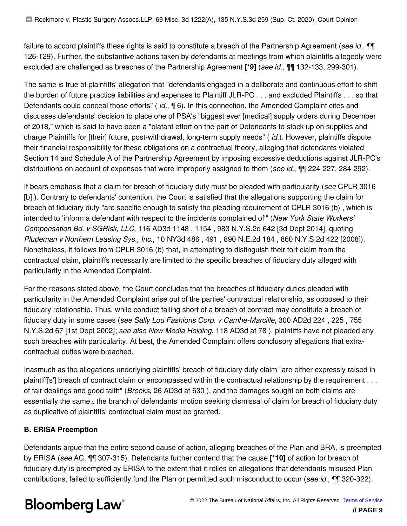failure to accord plaintiffs these rights is said to constitute a breach of the Partnership Agreement (*see id.*, ¶¶ 126-129). Further, the substantive actions taken by defendants at meetings from which plaintiffs allegedly were excluded are challenged as breaches of the Partnership Agreement **[\*9]** (*see id.*, ¶¶ 132-133, 299-301).

The same is true of plaintiffs' allegation that "defendants engaged in a deliberate and continuous effort to shift the burden of future practice liabilities and expenses to Plaintiff JLR-PC . . . and excluded Plaintiffs . . . so that Defendants could conceal those efforts" ( *id.*, ¶ 6). In this connection, the Amended Complaint cites and discusses defendants' decision to place one of PSA's "biggest ever [medical] supply orders during December of 2018," which is said to have been a "blatant effort on the part of Defendants to stock up on supplies and charge Plaintiffs for [their] future, post-withdrawal, long-term supply needs" ( *id.*). However, plaintiffs dispute their financial responsibility for these obligations on a contractual theory, alleging that defendants violated Section 14 and Schedule A of the Partnership Agreement by imposing excessive deductions against JLR-PC's distributions on account of expenses that were improperly assigned to them (*see id.*, ¶¶ 224-227, 284-292).

It bears emphasis that a claim for breach of fiduciary duty must be pleaded with particularity (*see* CPLR 3016 [b]). Contrary to defendants' contention, the Court is satisfied that the allegations supporting the claim for breach of fiduciary duty "are specific enough to satisfy the pleading requirement of CPLR 3016 (b) , which is intended to 'inform a defendant with respect to the incidents complained of'" (*New York State Workers' Compensation Bd. v SGRisk, LLC*, 116 AD3d 1148 , 1154 , 983 N.Y.S.2d 642 [3d Dept 2014], quoting *Pludeman v Northern Leasing Sys., Inc.*, 10 NY3d 486 , 491 , 890 N.E.2d 184 , 860 N.Y.S.2d 422 [2008]). Nonetheless, it follows from CPLR 3016 (b) that, in attempting to distinguish their tort claim from the contractual claim, plaintiffs necessarily are limited to the specific breaches of fiduciary duty alleged with particularity in the Amended Complaint.

For the reasons stated above, the Court concludes that the breaches of fiduciary duties pleaded with particularity in the Amended Complaint arise out of the parties' contractual relationship, as opposed to their fiduciary relationship. Thus, while conduct falling short of a breach of contract may constitute a breach of fiduciary duty in some cases (*see Sally Lou Fashions Corp. v Camhe-Marcille*, 300 AD2d 224 , 225 , 755 N.Y.S.2d 67 [1st Dept 2002]; *see also New Media Holding*, 118 AD3d at 78 ), plaintiffs have not pleaded any such breaches with particularity. At best, the Amended Complaint offers conclusory allegations that extracontractual duties were breached.

Inasmuch as the allegations underlying plaintiffs' breach of fiduciary duty claim "are either expressly raised in plaintiff[s'] breach of contract claim or encompassed within the contractual relationship by the requirement . . . of fair dealings and good faith" (*Brooks*, 26 AD3d at 630 ), and the damages sought on both claims are essentially the same,<sub>5</sub> the branch of defendants' motion seeking dismissal of claim for breach of fiduciary duty as duplicative of plaintiffs' contractual claim must be granted.

### **B. ERISA Preemption**

Defendants argue that the entire second cause of action, alleging breaches of the Plan and BRA, is preempted by ERISA (*see* AC, ¶¶ 307-315). Defendants further contend that the cause **[\*10]** of action for breach of fiduciary duty is preempted by ERISA to the extent that it relies on allegations that defendants misused Plan contributions, failed to sufficiently fund the Plan or permitted such misconduct to occur (*see id.*, ¶¶ 320-322).

# **Bloomberg Law®**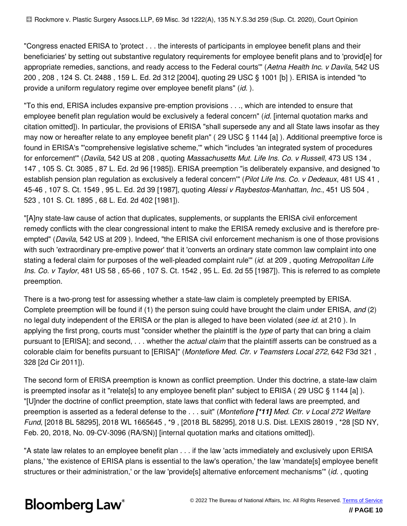"Congress enacted ERISA to 'protect . . . the interests of participants in employee benefit plans and their beneficiaries' by setting out substantive regulatory requirements for employee benefit plans and to 'provid[e] for appropriate remedies, sanctions, and ready access to the Federal courts'" (*Aetna Health Inc. v Davila*, 542 US 200 , 208 , 124 S. Ct. 2488 , 159 L. Ed. 2d 312 [2004], quoting 29 USC § 1001 [b] ). ERISA is intended "to provide a uniform regulatory regime over employee benefit plans" (*id.* ).

"To this end, ERISA includes expansive pre-emption provisions . . ., which are intended to ensure that employee benefit plan regulation would be exclusively a federal concern" (*id.* [internal quotation marks and citation omitted]). In particular, the provisions of ERISA "shall supersede any and all State laws insofar as they may now or hereafter relate to any employee benefit plan" ( 29 USC § 1144 [a] ). Additional preemptive force is found in ERISA's "'comprehensive legislative scheme,'" which "includes 'an integrated system of procedures for enforcement'" (*Davila*, 542 US at 208 , quoting *Massachusetts Mut. Life Ins. Co. v Russell*, 473 US 134 , 147 , 105 S. Ct. 3085 , 87 L. Ed. 2d 96 [1985]). ERISA preemption "is deliberately expansive, and designed 'to establish pension plan regulation as exclusively a federal concern'" (*Pilot Life Ins. Co. v Dedeaux*, 481 US 41 , 45-46 , 107 S. Ct. 1549 , 95 L. Ed. 2d 39 [1987], quoting *Alessi v Raybestos-Manhattan, Inc.*, 451 US 504 , 523 , 101 S. Ct. 1895 , 68 L. Ed. 2d 402 [1981]).

"[A]ny state-law cause of action that duplicates, supplements, or supplants the ERISA civil enforcement remedy conflicts with the clear congressional intent to make the ERISA remedy exclusive and is therefore preempted" (*Davila*, 542 US at 209 ). Indeed, "the ERISA civil enforcement mechanism is one of those provisions with such 'extraordinary pre-emptive power' that it 'converts an ordinary state common law complaint into one stating a federal claim for purposes of the well-pleaded complaint rule'" (*id.* at 209 , quoting *Metropolitan Life Ins. Co. v Taylor*, 481 US 58 , 65-66 , 107 S. Ct. 1542 , 95 L. Ed. 2d 55 [1987]). This is referred to as complete preemption.

There is a two-prong test for assessing whether a state-law claim is completely preempted by ERISA. Complete preemption will be found if (1) the person suing could have brought the claim under ERISA, *and* (2) no legal duty independent of the ERISA or the plan is alleged to have been violated (*see id.* at 210 ). In applying the first prong, courts must "consider whether the plaintiff is the *type* of party that can bring a claim pursuant to [ERISA]; and second, . . . whether the *actual claim* that the plaintiff asserts can be construed as a colorable claim for benefits pursuant to [ERISA]" (*Montefiore Med. Ctr. v Teamsters Local 272*, 642 F3d 321 , 328 [2d Cir 2011]).

The second form of ERISA preemption is known as conflict preemption. Under this doctrine, a state-law claim is preempted insofar as it "relate[s] to any employee benefit plan" subject to ERISA ( 29 USC § 1144 [a] ). "[U]nder the doctrine of conflict preemption, state laws that conflict with federal laws are preempted, and preemption is asserted as a federal defense to the . . . suit" (*Montefiore [\*11] Med. Ctr. v Local 272 Welfare Fund*, [2018 BL 58295], 2018 WL 1665645 , \*9 , [2018 BL 58295], 2018 U.S. Dist. LEXIS 28019 , \*28 [SD NY, Feb. 20, 2018, No. 09-CV-3096 (RA/SN)] [internal quotation marks and citations omitted]).

"A state law relates to an employee benefit plan . . . if the law 'acts immediately and exclusively upon ERISA plans,' 'the existence of ERISA plans is essential to the law's operation,' the law 'mandate[s] employee benefit structures or their administration,' or the law 'provide[s] alternative enforcement mechanisms'" (*id.* , quoting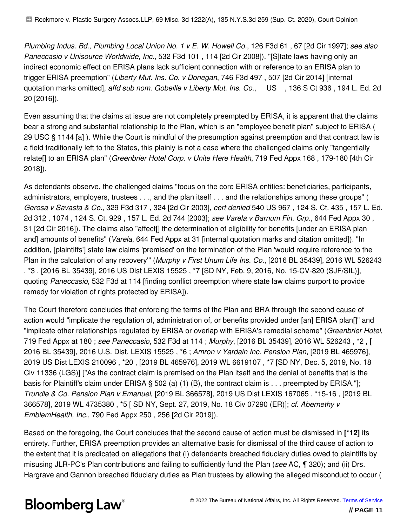*Plumbing Indus. Bd., Plumbing Local Union No. 1 v E. W. Howell Co.*, 126 F3d 61 , 67 [2d Cir 1997]; *see also Paneccasio v Unisource Worldwide, Inc.*, 532 F3d 101 , 114 [2d Cir 2008]). "[S]tate laws having only an indirect economic effect on ERISA plans lack sufficient connection with or reference to an ERISA plan to trigger ERISA preemption" (*Liberty Mut. Ins. Co. v Donegan*, 746 F3d 497 , 507 [2d Cir 2014] [internal quotation marks omitted], *affd sub nom. Gobeille v Liberty Mut. Ins. Co.*, US , 136 S Ct 936 , 194 L. Ed. 2d 20 [2016]).

Even assuming that the claims at issue are not completely preempted by ERISA, it is apparent that the claims bear a strong and substantial relationship to the Plan, which is an "employee benefit plan" subject to ERISA ( 29 USC § 1144 [a] ). While the Court is mindful of the presumption against preemption and that contract law is a field traditionally left to the States, this plainly is not a case where the challenged claims only "tangentially relate[] to an ERISA plan" (*Greenbrier Hotel Corp. v Unite Here Health*, 719 Fed Appx 168 , 179-180 [4th Cir 2018]).

As defendants observe, the challenged claims "focus on the core ERISA entities: beneficiaries, participants, administrators, employers, trustees . . ., and the plan itself . . . and the relationships among these groups" ( *Gerosa v Savasta & Co.*, 329 F3d 317 , 324 [2d Cir 2003], *cert denied* 540 US 967 , 124 S. Ct. 435 , 157 L. Ed. 2d 312 , 1074 , 124 S. Ct. 929 , 157 L. Ed. 2d 744 [2003]; *see Varela v Barnum Fin. Grp.*, 644 Fed Appx 30 , 31 [2d Cir 2016]). The claims also "affect[] the determination of eligibility for benefits [under an ERISA plan and] amounts of benefits" (*Varela*, 644 Fed Appx at 31 [internal quotation marks and citation omitted]). "In addition, [plaintiffs'] state law claims 'premised' on the termination of the Plan 'would require reference to the Plan in the calculation of any recovery'" (*Murphy v First Unum Life Ins. Co.*, [2016 BL 35439], 2016 WL 526243 , \*3 , [2016 BL 35439], 2016 US Dist LEXIS 15525 , \*7 [SD NY, Feb. 9, 2016, No. 15-CV-820 (SJF/SIL)], quoting *Paneccasio*, 532 F3d at 114 [finding conflict preemption where state law claims purport to provide remedy for violation of rights protected by ERISA]).

The Court therefore concludes that enforcing the terms of the Plan and BRA through the second cause of action would "implicate the regulation of, administration of, or benefits provided under [an] ERISA plan[]" and "implicate other relationships regulated by ERISA or overlap with ERISA's remedial scheme" (*Greenbrier Hotel*, 719 Fed Appx at 180 ; *see Paneccasio*, 532 F3d at 114 ; *Murphy*, [2016 BL 35439], 2016 WL 526243 , \*2 , [ 2016 BL 35439], 2016 U.S. Dist. LEXIS 15525 , \*6 ; *Amron v Yardain Inc. Pension Plan*, [2019 BL 465976], 2019 US Dist LEXIS 210096 , \*20 , [2019 BL 465976], 2019 WL 6619107 , \*7 [SD NY, Dec. 5, 2019, No. 18 Civ 11336 (LGS)] ["As the contract claim is premised on the Plan itself and the denial of benefits that is the basis for Plaintiff's claim under ERISA § 502 (a) (1) (B), the contract claim is . . . preempted by ERISA."]; *Trundle & Co. Pension Plan v Emanuel*, [2019 BL 366578], 2019 US Dist LEXIS 167065 , \*15-16 , [2019 BL 366578], 2019 WL 4735380 , \*5 [ SD NY, Sept. 27, 2019, No. 18 Civ 07290 (ER)]; *cf. Abernethy v EmblemHealth, Inc.*, 790 Fed Appx 250 , 256 [2d Cir 2019]).

Based on the foregoing, the Court concludes that the second cause of action must be dismissed in **[\*12]** its entirety. Further, ERISA preemption provides an alternative basis for dismissal of the third cause of action to the extent that it is predicated on allegations that (i) defendants breached fiduciary duties owed to plaintiffs by misusing JLR-PC's Plan contributions and failing to sufficiently fund the Plan (*see* AC, ¶ 320); and (ii) Drs. Hargrave and Gannon breached fiduciary duties as Plan trustees by allowing the alleged misconduct to occur (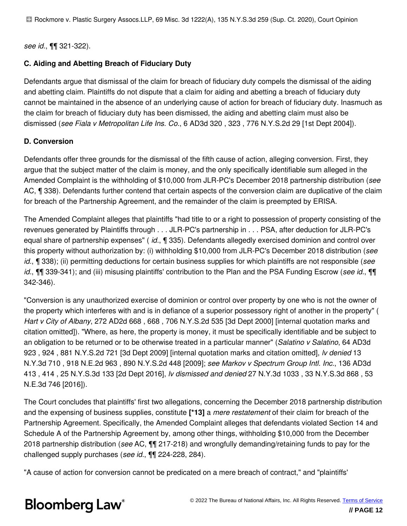*see id.*, ¶¶ 321-322).

### **C. Aiding and Abetting Breach of Fiduciary Duty**

Defendants argue that dismissal of the claim for breach of fiduciary duty compels the dismissal of the aiding and abetting claim. Plaintiffs do not dispute that a claim for aiding and abetting a breach of fiduciary duty cannot be maintained in the absence of an underlying cause of action for breach of fiduciary duty. Inasmuch as the claim for breach of fiduciary duty has been dismissed, the aiding and abetting claim must also be dismissed (*see Fiala v Metropolitan Life Ins. Co.*, 6 AD3d 320 , 323 , 776 N.Y.S.2d 29 [1st Dept 2004]).

### **D. Conversion**

Defendants offer three grounds for the dismissal of the fifth cause of action, alleging conversion. First, they argue that the subject matter of the claim is money, and the only specifically identifiable sum alleged in the Amended Complaint is the withholding of \$10,000 from JLR-PC's December 2018 partnership distribution (*see* AC, ¶ 338). Defendants further contend that certain aspects of the conversion claim are duplicative of the claim for breach of the Partnership Agreement, and the remainder of the claim is preempted by ERISA.

The Amended Complaint alleges that plaintiffs "had title to or a right to possession of property consisting of the revenues generated by Plaintiffs through . . . JLR-PC's partnership in . . . PSA, after deduction for JLR-PC's equal share of partnership expenses" ( *id.*, ¶ 335). Defendants allegedly exercised dominion and control over this property without authorization by: (i) withholding \$10,000 from JLR-PC's December 2018 distribution (*see id.*, ¶ 338); (ii) permitting deductions for certain business supplies for which plaintiffs are not responsible (*see id.*, ¶¶ 339-341); and (iii) misusing plaintiffs' contribution to the Plan and the PSA Funding Escrow (*see id.*, ¶¶ 342-346).

"Conversion is any unauthorized exercise of dominion or control over property by one who is not the owner of the property which interferes with and is in defiance of a superior possessory right of another in the property" ( *Hart v City of Albany*, 272 AD2d 668 , 668 , 706 N.Y.S.2d 535 [3d Dept 2000] [internal quotation marks and citation omitted]). "Where, as here, the property is money, it must be specifically identifiable and be subject to an obligation to be returned or to be otherwise treated in a particular manner" (*Salatino v Salatino*, 64 AD3d 923 , 924 , 881 N.Y.S.2d 721 [3d Dept 2009] [internal quotation marks and citation omitted], *lv denied* 13 N.Y.3d 710 , 918 N.E.2d 963 , 890 N.Y.S.2d 448 [2009]; *see Markov v Spectrum Group Intl. Inc.*, 136 AD3d 413 , 414 , 25 N.Y.S.3d 133 [2d Dept 2016], *lv dismissed and denied* 27 N.Y.3d 1033 , 33 N.Y.S.3d 868 , 53 N.E.3d 746 [2016]).

The Court concludes that plaintiffs' first two allegations, concerning the December 2018 partnership distribution and the expensing of business supplies, constitute **[\*13]** a *mere restatement* of their claim for breach of the Partnership Agreement. Specifically, the Amended Complaint alleges that defendants violated Section 14 and Schedule A of the Partnership Agreement by, among other things, withholding \$10,000 from the December 2018 partnership distribution (*see* AC, ¶¶ 217-218) and wrongfully demanding/retaining funds to pay for the challenged supply purchases (*see id.*, ¶¶ 224-228, 284).

"A cause of action for conversion cannot be predicated on a mere breach of contract," and "plaintiffs'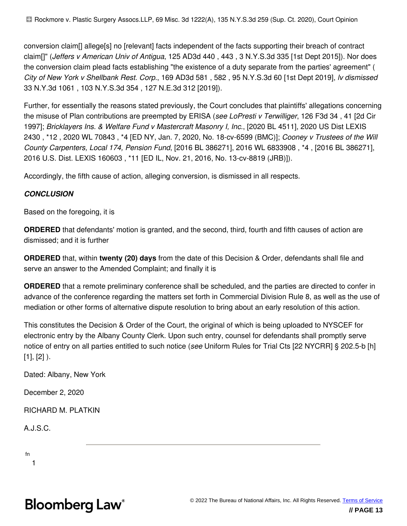conversion claim[] allege[s] no [relevant] facts independent of the facts supporting their breach of contract claim[]" (*Jeffers v American Univ of Antigua*, 125 AD3d 440 , 443 , 3 N.Y.S.3d 335 [1st Dept 2015]). Nor does the conversion claim plead facts establishing "the existence of a duty separate from the parties' agreement" ( *City of New York v Shellbank Rest. Corp.*, 169 AD3d 581 , 582 , 95 N.Y.S.3d 60 [1st Dept 2019], *lv dismissed* 33 N.Y.3d 1061 , 103 N.Y.S.3d 354 , 127 N.E.3d 312 [2019]).

Further, for essentially the reasons stated previously, the Court concludes that plaintiffs' allegations concerning the misuse of Plan contributions are preempted by ERISA (*see LoPresti v Terwilliger*, 126 F3d 34 , 41 [2d Cir 1997]; *Bricklayers Ins. & Welfare Fund v Mastercraft Masonry I, Inc.*, [2020 BL 4511], 2020 US Dist LEXIS 2430 , \*12 , 2020 WL 70843 , \*4 [ED NY, Jan. 7, 2020, No. 18-cv-6599 (BMC)]; *Cooney v Trustees of the Will County Carpenters, Local 174, Pension Fund*, [2016 BL 386271], 2016 WL 6833908 , \*4 , [2016 BL 386271], 2016 U.S. Dist. LEXIS 160603 , \*11 [ED IL, Nov. 21, 2016, No. 13-cv-8819 (JRB)]).

Accordingly, the fifth cause of action, alleging conversion, is dismissed in all respects.

#### *CONCLUSION*

Based on the foregoing, it is

**ORDERED** that defendants' motion is granted, and the second, third, fourth and fifth causes of action are dismissed; and it is further

**ORDERED** that, within **twenty (20) days** from the date of this Decision & Order, defendants shall file and serve an answer to the Amended Complaint; and finally it is

**ORDERED** that a remote preliminary conference shall be scheduled, and the parties are directed to confer in advance of the conference regarding the matters set forth in Commercial Division Rule 8, as well as the use of mediation or other forms of alternative dispute resolution to bring about an early resolution of this action.

This constitutes the Decision & Order of the Court, the original of which is being uploaded to NYSCEF for electronic entry by the Albany County Clerk. Upon such entry, counsel for defendants shall promptly serve notice of entry on all parties entitled to such notice (*see* Uniform Rules for Trial Cts [22 NYCRR] § 202.5-b [h]  $[1], [2]$ ).

Dated: Albany, New York

December 2, 2020

RICHARD M. PLATKIN

A.J.S.C.

fn

1